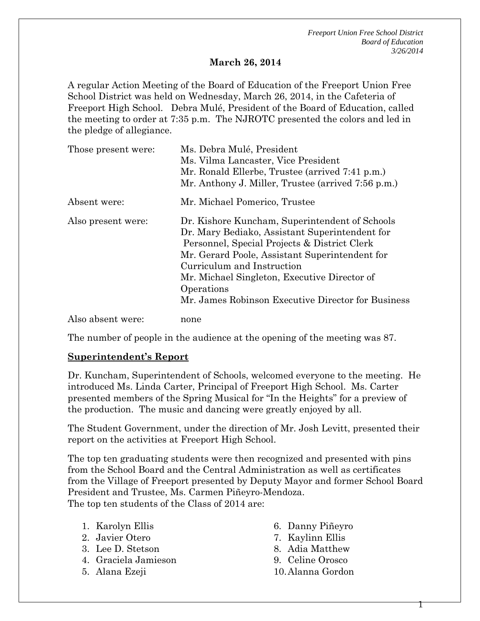#### **March 26, 2014**

A regular Action Meeting of the Board of Education of the Freeport Union Free School District was held on Wednesday, March 26, 2014, in the Cafeteria of Freeport High School. Debra Mulé, President of the Board of Education, called the meeting to order at 7:35 p.m. The NJROTC presented the colors and led in the pledge of allegiance.

| Those present were: | Ms. Debra Mulé, President<br>Ms. Vilma Lancaster, Vice President<br>Mr. Ronald Ellerbe, Trustee (arrived 7:41 p.m.)<br>Mr. Anthony J. Miller, Trustee (arrived 7:56 p.m.)                                                                                                                                                                            |
|---------------------|------------------------------------------------------------------------------------------------------------------------------------------------------------------------------------------------------------------------------------------------------------------------------------------------------------------------------------------------------|
| Absent were:        | Mr. Michael Pomerico, Trustee                                                                                                                                                                                                                                                                                                                        |
| Also present were:  | Dr. Kishore Kuncham, Superintendent of Schools<br>Dr. Mary Bediako, Assistant Superintendent for<br>Personnel, Special Projects & District Clerk<br>Mr. Gerard Poole, Assistant Superintendent for<br>Curriculum and Instruction<br>Mr. Michael Singleton, Executive Director of<br>Operations<br>Mr. James Robinson Executive Director for Business |
| Also absent were:   | none                                                                                                                                                                                                                                                                                                                                                 |

The number of people in the audience at the opening of the meeting was 87.

#### **Superintendent's Report**

Dr. Kuncham, Superintendent of Schools, welcomed everyone to the meeting. He introduced Ms. Linda Carter, Principal of Freeport High School. Ms. Carter presented members of the Spring Musical for "In the Heights" for a preview of the production. The music and dancing were greatly enjoyed by all.

The Student Government, under the direction of Mr. Josh Levitt, presented their report on the activities at Freeport High School.

The top ten graduating students were then recognized and presented with pins from the School Board and the Central Administration as well as certificates from the Village of Freeport presented by Deputy Mayor and former School Board President and Trustee, Ms. Carmen Piñeyro-Mendoza. The top ten students of the Class of 2014 are:

- 1. Karolyn Ellis
- 2. Javier Otero
- 3. Lee D. Stetson
- 4. Graciela Jamieson
- 5. Alana Ezeji
- 6. Danny Piñeyro
- 7. Kaylinn Ellis
- 8. Adia Matthew
- 9. Celine Orosco
- 10.Alanna Gordon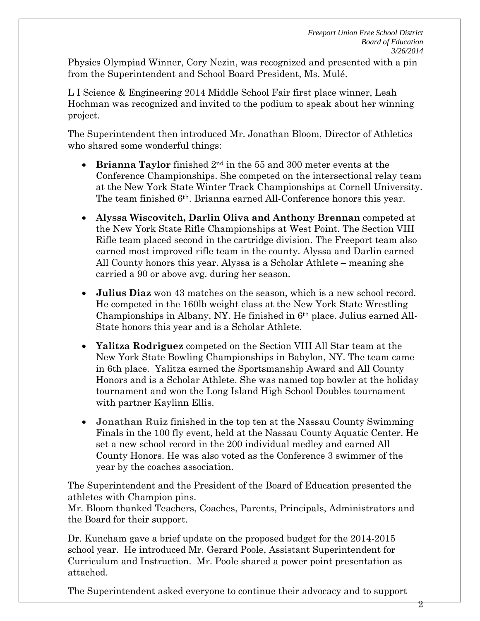Physics Olympiad Winner, Cory Nezin, was recognized and presented with a pin from the Superintendent and School Board President, Ms. Mulé.

L I Science & Engineering 2014 Middle School Fair first place winner, Leah Hochman was recognized and invited to the podium to speak about her winning project.

The Superintendent then introduced Mr. Jonathan Bloom, Director of Athletics who shared some wonderful things:

- **Brianna Taylor** finished 2nd in the 55 and 300 meter events at the Conference Championships. She competed on the intersectional relay team at the New York State Winter Track Championships at Cornell University. The team finished 6th. Brianna earned All-Conference honors this year.
- **Alyssa Wiscovitch, Darlin Oliva and Anthony Brennan** competed at the New York State Rifle Championships at West Point. The Section VIII Rifle team placed second in the cartridge division. The Freeport team also earned most improved rifle team in the county. Alyssa and Darlin earned All County honors this year. Alyssa is a Scholar Athlete – meaning she carried a 90 or above avg. during her season.
- **Julius Diaz** won 43 matches on the season, which is a new school record. He competed in the 160lb weight class at the New York State Wrestling Championships in Albany, NY. He finished in  $6<sup>th</sup>$  place. Julius earned All-State honors this year and is a Scholar Athlete.
- **Yalitza Rodriguez** competed on the Section VIII All Star team at the New York State Bowling Championships in Babylon, NY. The team came in 6th place. Yalitza earned the Sportsmanship Award and All County Honors and is a Scholar Athlete. She was named top bowler at the holiday tournament and won the Long Island High School Doubles tournament with partner Kaylinn Ellis.
- **Jonathan Ruiz** finished in the top ten at the Nassau County Swimming Finals in the 100 fly event, held at the Nassau County Aquatic Center. He set a new school record in the 200 individual medley and earned All County Honors. He was also voted as the Conference 3 swimmer of the year by the coaches association.

The Superintendent and the President of the Board of Education presented the athletes with Champion pins.

Mr. Bloom thanked Teachers, Coaches, Parents, Principals, Administrators and the Board for their support.

Dr. Kuncham gave a brief update on the proposed budget for the 2014-2015 school year. He introduced Mr. Gerard Poole, Assistant Superintendent for Curriculum and Instruction. Mr. Poole shared a power point presentation as attached.

The Superintendent asked everyone to continue their advocacy and to support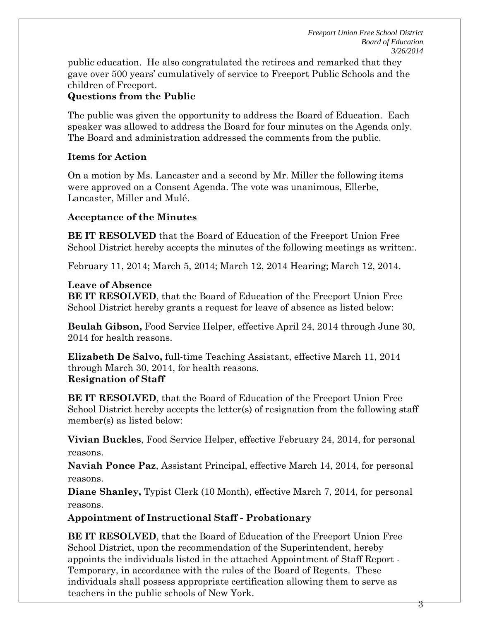public education. He also congratulated the retirees and remarked that they gave over 500 years' cumulatively of service to Freeport Public Schools and the children of Freeport.

# **Questions from the Public**

The public was given the opportunity to address the Board of Education. Each speaker was allowed to address the Board for four minutes on the Agenda only. The Board and administration addressed the comments from the public.

## **Items for Action**

On a motion by Ms. Lancaster and a second by Mr. Miller the following items were approved on a Consent Agenda. The vote was unanimous, Ellerbe, Lancaster, Miller and Mulé.

## **Acceptance of the Minutes**

**BE IT RESOLVED** that the Board of Education of the Freeport Union Free School District hereby accepts the minutes of the following meetings as written:.

February 11, 2014; March 5, 2014; March 12, 2014 Hearing; March 12, 2014.

## **Leave of Absence**

**BE IT RESOLVED**, that the Board of Education of the Freeport Union Free School District hereby grants a request for leave of absence as listed below:

**Beulah Gibson,** Food Service Helper, effective April 24, 2014 through June 30, 2014 for health reasons.

**Elizabeth De Salvo,** full-time Teaching Assistant, effective March 11, 2014 through March 30, 2014, for health reasons. **Resignation of Staff**

**BE IT RESOLVED**, that the Board of Education of the Freeport Union Free School District hereby accepts the letter(s) of resignation from the following staff member(s) as listed below:

**Vivian Buckles**, Food Service Helper, effective February 24, 2014, for personal reasons.

**Naviah Ponce Paz**, Assistant Principal, effective March 14, 2014, for personal reasons.

**Diane Shanley,** Typist Clerk (10 Month), effective March 7, 2014, for personal reasons.

**Appointment of Instructional Staff - Probationary**

**BE IT RESOLVED**, that the Board of Education of the Freeport Union Free School District, upon the recommendation of the Superintendent, hereby appoints the individuals listed in the attached Appointment of Staff Report - Temporary, in accordance with the rules of the Board of Regents. These individuals shall possess appropriate certification allowing them to serve as teachers in the public schools of New York.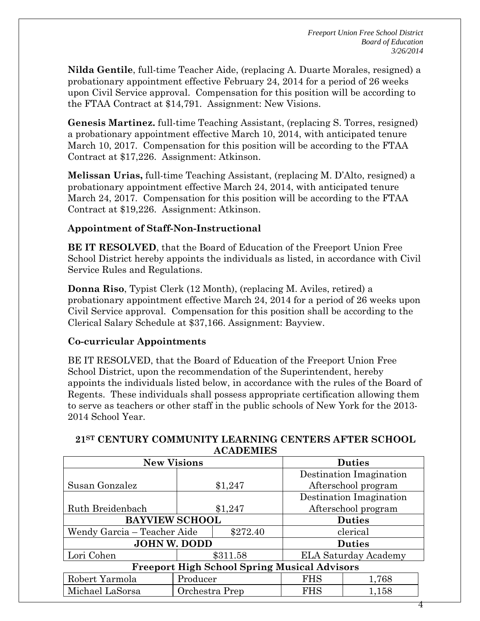4

**Nilda Gentile**, full-time Teacher Aide, (replacing A. Duarte Morales, resigned) a probationary appointment effective February 24, 2014 for a period of 26 weeks upon Civil Service approval. Compensation for this position will be according to the FTAA Contract at \$14,791. Assignment: New Visions.

**Genesis Martinez.** full-time Teaching Assistant, (replacing S. Torres, resigned) a probationary appointment effective March 10, 2014, with anticipated tenure March 10, 2017. Compensation for this position will be according to the FTAA Contract at \$17,226. Assignment: Atkinson.

**Melissan Urias,** full-time Teaching Assistant, (replacing M. D'Alto, resigned) a probationary appointment effective March 24, 2014, with anticipated tenure March 24, 2017. Compensation for this position will be according to the FTAA Contract at \$19,226. Assignment: Atkinson.

## **Appointment of Staff-Non-Instructional**

**BE IT RESOLVED**, that the Board of Education of the Freeport Union Free School District hereby appoints the individuals as listed, in accordance with Civil Service Rules and Regulations.

**Donna Riso**, Typist Clerk (12 Month), (replacing M. Aviles, retired) a probationary appointment effective March 24, 2014 for a period of 26 weeks upon Civil Service approval. Compensation for this position shall be according to the Clerical Salary Schedule at \$37,166. Assignment: Bayview.

### **Co-curricular Appointments**

BE IT RESOLVED, that the Board of Education of the Freeport Union Free School District, upon the recommendation of the Superintendent, hereby appoints the individuals listed below, in accordance with the rules of the Board of Regents. These individuals shall possess appropriate certification allowing them to serve as teachers or other staff in the public schools of New York for the 2013- 2014 School Year.

| *************                                       |                |          |                             |       |  |
|-----------------------------------------------------|----------------|----------|-----------------------------|-------|--|
| <b>New Visions</b>                                  |                |          | <b>Duties</b>               |       |  |
|                                                     |                |          | Destination Imagination     |       |  |
| Susan Gonzalez                                      |                | \$1,247  | Afterschool program         |       |  |
|                                                     |                |          | Destination Imagination     |       |  |
| Ruth Breidenbach                                    |                | \$1,247  | Afterschool program         |       |  |
| <b>BAYVIEW SCHOOL</b>                               |                |          | <b>Duties</b>               |       |  |
| Wendy Garcia – Teacher Aide<br>\$272.40             |                | clerical |                             |       |  |
| <b>JOHN W. DODD</b>                                 |                |          | <b>Duties</b>               |       |  |
| Lori Cohen                                          |                | \$311.58 | <b>ELA Saturday Academy</b> |       |  |
| <b>Freeport High School Spring Musical Advisors</b> |                |          |                             |       |  |
| Robert Yarmola                                      | Producer       |          | <b>FHS</b>                  | 1,768 |  |
| Michael LaSorsa                                     | Orchestra Prep |          | <b>FHS</b><br>1,158         |       |  |

### **21ST CENTURY COMMUNITY LEARNING CENTERS AFTER SCHOOL ACADEMIES**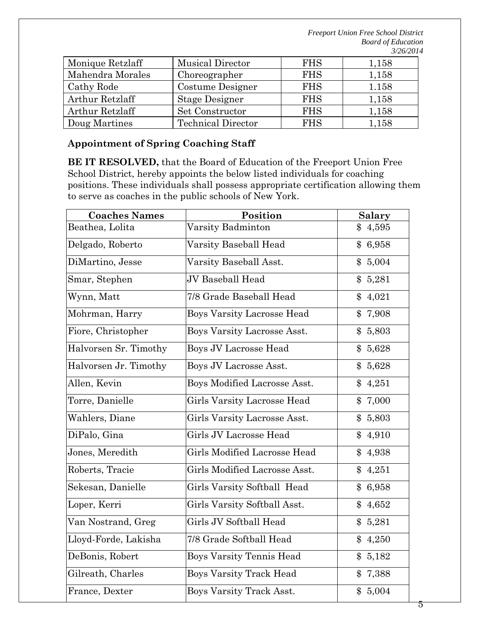| Monique Retzlaff | <b>Musical Director</b>   | <b>FHS</b> | 1,158 |
|------------------|---------------------------|------------|-------|
| Mahendra Morales | Choreographer             | <b>FHS</b> | 1,158 |
| Cathy Rode       | Costume Designer          | <b>FHS</b> | 1.158 |
| Arthur Retzlaff  | <b>Stage Designer</b>     | <b>FHS</b> | 1,158 |
| Arthur Retzlaff  | Set Constructor           | <b>FHS</b> | 1,158 |
| Doug Martines    | <b>Technical Director</b> | <b>FHS</b> | 1,158 |

## **Appointment of Spring Coaching Staff**

**BE IT RESOLVED,** that the Board of Education of the Freeport Union Free School District, hereby appoints the below listed individuals for coaching positions. These individuals shall possess appropriate certification allowing them to serve as coaches in the public schools of New York.

| <b>Coaches Names</b>  | Position                           | <b>Salary</b>           |
|-----------------------|------------------------------------|-------------------------|
| Beathea, Lolita       | Varsity Badminton                  | \$4,595                 |
| Delgado, Roberto      | Varsity Baseball Head              | 6,958<br>\$             |
| DiMartino, Jesse      | Varsity Baseball Asst.             | \$5,004                 |
| Smar, Stephen         | JV Baseball Head                   | \$5,281                 |
| Wynn, Matt            | 7/8 Grade Baseball Head            | 4,021                   |
| Mohrman, Harry        | <b>Boys Varsity Lacrosse Head</b>  | 7,908<br>\$             |
| Fiore, Christopher    | Boys Varsity Lacrosse Asst.        | \$5,803                 |
| Halvorsen Sr. Timothy | Boys JV Lacrosse Head              | 5,628                   |
| Halvorsen Jr. Timothy | Boys JV Lacrosse Asst.             | 5,628<br>\$             |
| Allen, Kevin          | Boys Modified Lacrosse Asst.       | \$4,251                 |
| Torre, Danielle       | <b>Girls Varsity Lacrosse Head</b> | \$7,000                 |
| Wahlers, Diane        | Girls Varsity Lacrosse Asst.       | 5,803<br>\$             |
| DiPalo, Gina          | Girls JV Lacrosse Head             | 4,910<br>$\mathbb{S}^-$ |
| Jones, Meredith       | Girls Modified Lacrosse Head       | \$4,938                 |
| Roberts, Tracie       | Girls Modified Lacrosse Asst.      | \$4,251                 |
| Sekesan, Danielle     | Girls Varsity Softball Head        | 6,958<br>\$             |
| Loper, Kerri          | Girls Varsity Softball Asst.       | \$<br>4,652             |
| Van Nostrand, Greg    | Girls JV Softball Head             | \$5,281                 |
| Lloyd-Forde, Lakisha  | 7/8 Grade Softball Head            | \$<br>4,250             |
| DeBonis, Robert       | <b>Boys Varsity Tennis Head</b>    | \$5,182                 |
| Gilreath, Charles     | <b>Boys Varsity Track Head</b>     | \$7,388                 |
| France, Dexter        | <b>Boys Varsity Track Asst.</b>    | \$5,004                 |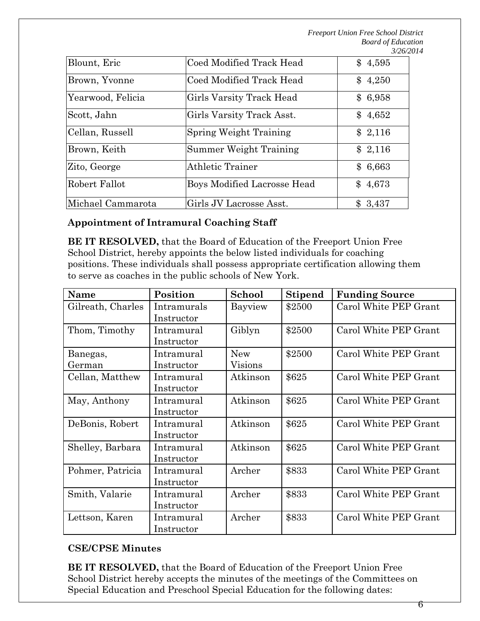| Blount, Eric      | Coed Modified Track Head      | \$4,595 |
|-------------------|-------------------------------|---------|
| Brown, Yvonne     | Coed Modified Track Head      | \$4,250 |
| Yearwood, Felicia | Girls Varsity Track Head      | \$6,958 |
| Scott, Jahn       | Girls Varsity Track Asst.     | \$4,652 |
| Cellan, Russell   | <b>Spring Weight Training</b> | \$2,116 |
| Brown, Keith      | Summer Weight Training        | \$2,116 |
| Zito, George      | <b>Athletic Trainer</b>       | \$6,663 |
| Robert Fallot     | Boys Modified Lacrosse Head   | \$4,673 |
| Michael Cammarota | Girls JV Lacrosse Asst.       | \$3,437 |

### **Appointment of Intramural Coaching Staff**

**BE IT RESOLVED,** that the Board of Education of the Freeport Union Free School District, hereby appoints the below listed individuals for coaching positions. These individuals shall possess appropriate certification allowing them to serve as coaches in the public schools of New York.

| <b>Name</b>        | Position                  | School                | <b>Stipend</b> | <b>Funding Source</b> |
|--------------------|---------------------------|-----------------------|----------------|-----------------------|
| Gilreath, Charles  | Intramurals<br>Instructor | Bayview               | \$2500         | Carol White PEP Grant |
| Thom, Timothy      | Intramural<br>Instructor  | Giblyn                | \$2500         | Carol White PEP Grant |
| Banegas,<br>German | Intramural<br>Instructor  | <b>New</b><br>Visions | \$2500         | Carol White PEP Grant |
| Cellan, Matthew    | Intramural<br>Instructor  | Atkinson              | \$625          | Carol White PEP Grant |
| May, Anthony       | Intramural<br>Instructor  | Atkinson              | \$625          | Carol White PEP Grant |
| DeBonis, Robert    | Intramural<br>Instructor  | Atkinson              | \$625          | Carol White PEP Grant |
| Shelley, Barbara   | Intramural<br>Instructor  | Atkinson              | \$625          | Carol White PEP Grant |
| Pohmer, Patricia   | Intramural<br>Instructor  | Archer                | \$833          | Carol White PEP Grant |
| Smith, Valarie     | Intramural<br>Instructor  | Archer                | \$833          | Carol White PEP Grant |
| Lettson, Karen     | Intramural<br>Instructor  | Archer                | \$833          | Carol White PEP Grant |

## **CSE/CPSE Minutes**

**BE IT RESOLVED,** that the Board of Education of the Freeport Union Free School District hereby accepts the minutes of the meetings of the Committees on Special Education and Preschool Special Education for the following dates: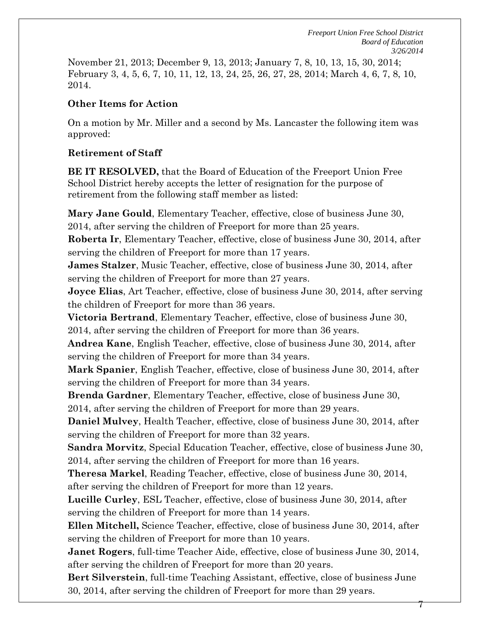November 21, 2013; December 9, 13, 2013; January 7, 8, 10, 13, 15, 30, 2014; February 3, 4, 5, 6, 7, 10, 11, 12, 13, 24, 25, 26, 27, 28, 2014; March 4, 6, 7, 8, 10, 2014.

### **Other Items for Action**

On a motion by Mr. Miller and a second by Ms. Lancaster the following item was approved:

## **Retirement of Staff**

**BE IT RESOLVED,** that the Board of Education of the Freeport Union Free School District hereby accepts the letter of resignation for the purpose of retirement from the following staff member as listed:

**Mary Jane Gould**, Elementary Teacher, effective, close of business June 30, 2014, after serving the children of Freeport for more than 25 years.

**Roberta Ir**, Elementary Teacher, effective, close of business June 30, 2014, after serving the children of Freeport for more than 17 years.

**James Stalzer**, Music Teacher, effective, close of business June 30, 2014, after serving the children of Freeport for more than 27 years.

**Joyce Elias**, Art Teacher, effective, close of business June 30, 2014, after serving the children of Freeport for more than 36 years.

**Victoria Bertrand**, Elementary Teacher, effective, close of business June 30, 2014, after serving the children of Freeport for more than 36 years.

**Andrea Kane**, English Teacher, effective, close of business June 30, 2014, after serving the children of Freeport for more than 34 years.

**Mark Spanier**, English Teacher, effective, close of business June 30, 2014, after serving the children of Freeport for more than 34 years.

**Brenda Gardner**, Elementary Teacher, effective, close of business June 30,

2014, after serving the children of Freeport for more than 29 years.

**Daniel Mulvey**, Health Teacher, effective, close of business June 30, 2014, after serving the children of Freeport for more than 32 years.

**Sandra Morvitz**, Special Education Teacher, effective, close of business June 30, 2014, after serving the children of Freeport for more than 16 years.

**Theresa Markel**, Reading Teacher, effective, close of business June 30, 2014, after serving the children of Freeport for more than 12 years.

**Lucille Curley**, ESL Teacher, effective, close of business June 30, 2014, after serving the children of Freeport for more than 14 years.

**Ellen Mitchell,** Science Teacher, effective, close of business June 30, 2014, after serving the children of Freeport for more than 10 years.

**Janet Rogers**, full-time Teacher Aide, effective, close of business June 30, 2014, after serving the children of Freeport for more than 20 years.

**Bert Silverstein**, full-time Teaching Assistant, effective, close of business June 30, 2014, after serving the children of Freeport for more than 29 years.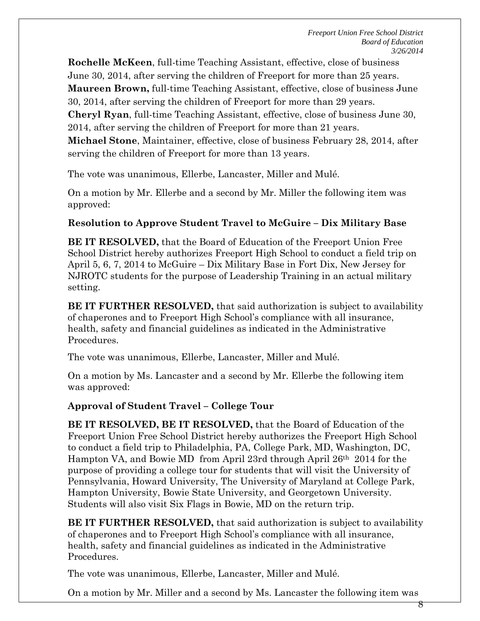**Rochelle McKeen**, full-time Teaching Assistant, effective, close of business June 30, 2014, after serving the children of Freeport for more than 25 years. **Maureen Brown,** full-time Teaching Assistant, effective, close of business June 30, 2014, after serving the children of Freeport for more than 29 years. **Cheryl Ryan**, full-time Teaching Assistant, effective, close of business June 30, 2014, after serving the children of Freeport for more than 21 years. **Michael Stone**, Maintainer, effective, close of business February 28, 2014, after serving the children of Freeport for more than 13 years.

The vote was unanimous, Ellerbe, Lancaster, Miller and Mulé.

On a motion by Mr. Ellerbe and a second by Mr. Miller the following item was approved:

## **Resolution to Approve Student Travel to McGuire – Dix Military Base**

**BE IT RESOLVED,** that the Board of Education of the Freeport Union Free School District hereby authorizes Freeport High School to conduct a field trip on April 5, 6, 7, 2014 to McGuire – Dix Military Base in Fort Dix, New Jersey for NJROTC students for the purpose of Leadership Training in an actual military setting.

**BE IT FURTHER RESOLVED, that said authorization is subject to availability** of chaperones and to Freeport High School's compliance with all insurance, health, safety and financial guidelines as indicated in the Administrative Procedures.

The vote was unanimous, Ellerbe, Lancaster, Miller and Mulé.

On a motion by Ms. Lancaster and a second by Mr. Ellerbe the following item was approved:

# **Approval of Student Travel – College Tour**

**BE IT RESOLVED, BE IT RESOLVED,** that the Board of Education of the Freeport Union Free School District hereby authorizes the Freeport High School to conduct a field trip to Philadelphia, PA, College Park, MD, Washington, DC, Hampton VA, and Bowie MD from April 23rd through April 26th 2014 for the purpose of providing a college tour for students that will visit the University of Pennsylvania, Howard University, The University of Maryland at College Park, Hampton University, Bowie State University, and Georgetown University. Students will also visit Six Flags in Bowie, MD on the return trip.

**BE IT FURTHER RESOLVED,** that said authorization is subject to availability of chaperones and to Freeport High School's compliance with all insurance, health, safety and financial guidelines as indicated in the Administrative Procedures.

The vote was unanimous, Ellerbe, Lancaster, Miller and Mulé.

On a motion by Mr. Miller and a second by Ms. Lancaster the following item was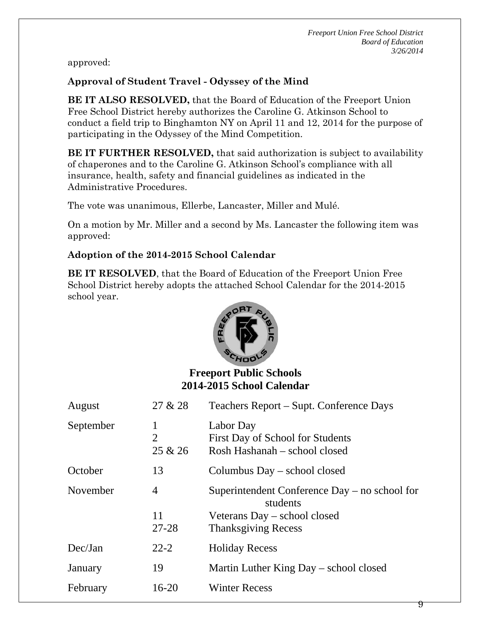approved:

# **Approval of Student Travel - Odyssey of the Mind**

**BE IT ALSO RESOLVED,** that the Board of Education of the Freeport Union Free School District hereby authorizes the Caroline G. Atkinson School to conduct a field trip to Binghamton NY on April 11 and 12, 2014 for the purpose of participating in the Odyssey of the Mind Competition.

**BE IT FURTHER RESOLVED,** that said authorization is subject to availability of chaperones and to the Caroline G. Atkinson School's compliance with all insurance, health, safety and financial guidelines as indicated in the Administrative Procedures.

The vote was unanimous, Ellerbe, Lancaster, Miller and Mulé.

On a motion by Mr. Miller and a second by Ms. Lancaster the following item was approved:

# **Adoption of the 2014-2015 School Calendar**

**BE IT RESOLVED**, that the Board of Education of the Freeport Union Free School District hereby adopts the attached School Calendar for the 2014-2015 school year.



# **Freeport Public Schools 2014-2015 School Calendar**

| August    | 27 & 28                        | Teachers Report – Supt. Conference Days                                        |
|-----------|--------------------------------|--------------------------------------------------------------------------------|
| September | 1<br>$\overline{2}$<br>25 & 26 | Labor Day<br>First Day of School for Students<br>Rosh Hashanah – school closed |
| October   | 13                             | Columbus Day – school closed                                                   |
| November  | 4                              | Superintendent Conference Day – no school for<br>students                      |
|           | 11                             | Veterans Day – school closed                                                   |
|           | $27 - 28$                      | <b>Thanksgiving Recess</b>                                                     |
| Dec/Jan   | $22 - 2$                       | <b>Holiday Recess</b>                                                          |
| January   | 19                             | Martin Luther King Day – school closed                                         |
| February  | $16-20$                        | <b>Winter Recess</b>                                                           |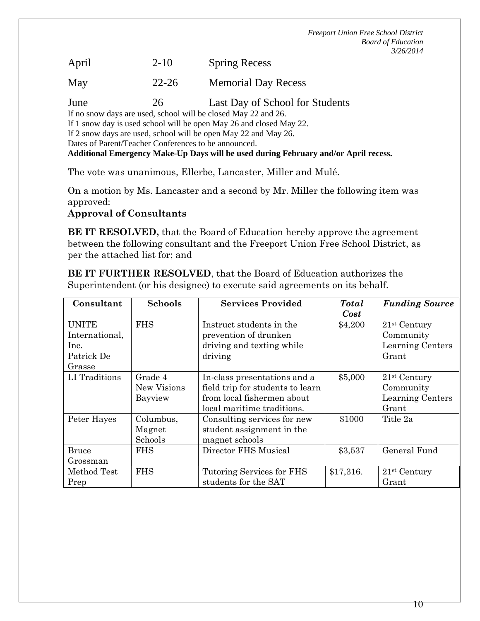April 2-10 Spring Recess

May 22-26 Memorial Day Recess

June 26 Last Day of School for Students

If no snow days are used, school will be closed May 22 and 26.

If 1 snow day is used school will be open May 26 and closed May 22.

If 2 snow days are used, school will be open May 22 and May 26.

Dates of Parent/Teacher Conferences to be announced.

**Additional Emergency Make-Up Days will be used during February and/or April recess.**

The vote was unanimous, Ellerbe, Lancaster, Miller and Mulé.

On a motion by Ms. Lancaster and a second by Mr. Miller the following item was approved:

### **Approval of Consultants**

**BE IT RESOLVED,** that the Board of Education hereby approve the agreement between the following consultant and the Freeport Union Free School District, as per the attached list for; and

**BE IT FURTHER RESOLVED**, that the Board of Education authorizes the Superintendent (or his designee) to execute said agreements on its behalf.

| Consultant                     | <b>Schools</b>         | <b>Services Provided</b>                                         | <b>Total</b> | <b>Funding Source</b>       |
|--------------------------------|------------------------|------------------------------------------------------------------|--------------|-----------------------------|
|                                |                        |                                                                  | <b>Cost</b>  |                             |
| <b>UNITE</b><br>International, | <b>FHS</b>             | Instruct students in the<br>prevention of drunken                | \$4,200      | $21st$ Century<br>Community |
| Inc.                           |                        | driving and texting while                                        |              | Learning Centers            |
| Patrick De                     |                        | driving                                                          |              | Grant                       |
| Grasse                         |                        |                                                                  |              |                             |
| LI Traditions                  | Grade 4<br>New Visions | In-class presentations and a<br>field trip for students to learn | \$5,000      | $21st$ Century<br>Community |
|                                | Bayview                | from local fishermen about<br>local maritime traditions.         |              | Learning Centers<br>Grant   |
| Peter Hayes                    | Columbus,              | Consulting services for new                                      | \$1000       | Title 2a                    |
|                                | Magnet                 | student assignment in the                                        |              |                             |
|                                | Schools                | magnet schools                                                   |              |                             |
| <b>Bruce</b>                   | <b>FHS</b>             | Director FHS Musical                                             | \$3,537      | General Fund                |
| Grossman                       |                        |                                                                  |              |                             |
| Method Test                    | <b>FHS</b>             | Tutoring Services for FHS                                        | \$17,316.    | $21st$ Century              |
| Prep                           |                        | students for the SAT                                             |              | Grant                       |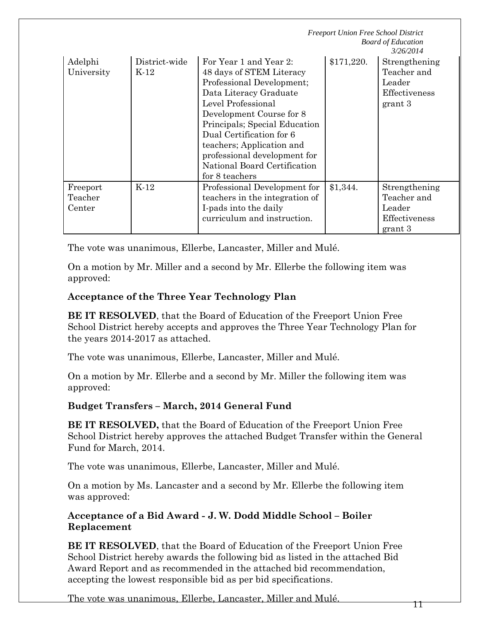|                               |                       | <b>Freeport Union Free School District</b><br><b>Board of Education</b><br>3/26/2014                                                                                                                                                                                                                                                    |            |                                                                    |  |
|-------------------------------|-----------------------|-----------------------------------------------------------------------------------------------------------------------------------------------------------------------------------------------------------------------------------------------------------------------------------------------------------------------------------------|------------|--------------------------------------------------------------------|--|
| Adelphi<br>University         | District-wide<br>K-12 | For Year 1 and Year 2:<br>48 days of STEM Literacy<br>Professional Development;<br>Data Literacy Graduate<br>Level Professional<br>Development Course for 8<br>Principals; Special Education<br>Dual Certification for 6<br>teachers; Application and<br>professional development for<br>National Board Certification<br>for 8 teachers | \$171,220. | Strengthening<br>Teacher and<br>Leader<br>Effectiveness<br>grant 3 |  |
| Freeport<br>Teacher<br>Center | $K-12$                | Professional Development for<br>teachers in the integration of<br>I-pads into the daily<br>curriculum and instruction.                                                                                                                                                                                                                  | \$1,344.   | Strengthening<br>Teacher and<br>Leader<br>Effectiveness<br>grant 3 |  |

The vote was unanimous, Ellerbe, Lancaster, Miller and Mulé.

On a motion by Mr. Miller and a second by Mr. Ellerbe the following item was approved:

## **Acceptance of the Three Year Technology Plan**

**BE IT RESOLVED**, that the Board of Education of the Freeport Union Free School District hereby accepts and approves the Three Year Technology Plan for the years 2014-2017 as attached.

The vote was unanimous, Ellerbe, Lancaster, Miller and Mulé.

On a motion by Mr. Ellerbe and a second by Mr. Miller the following item was approved:

### **Budget Transfers – March, 2014 General Fund**

**BE IT RESOLVED,** that the Board of Education of the Freeport Union Free School District hereby approves the attached Budget Transfer within the General Fund for March, 2014.

The vote was unanimous, Ellerbe, Lancaster, Miller and Mulé.

On a motion by Ms. Lancaster and a second by Mr. Ellerbe the following item was approved:

**Acceptance of a Bid Award - J. W. Dodd Middle School – Boiler Replacement**

**BE IT RESOLVED**, that the Board of Education of the Freeport Union Free School District hereby awards the following bid as listed in the attached Bid Award Report and as recommended in the attached bid recommendation, accepting the lowest responsible bid as per bid specifications.

The vote was unanimous, Ellerbe, Lancaster, Miller and Mulé.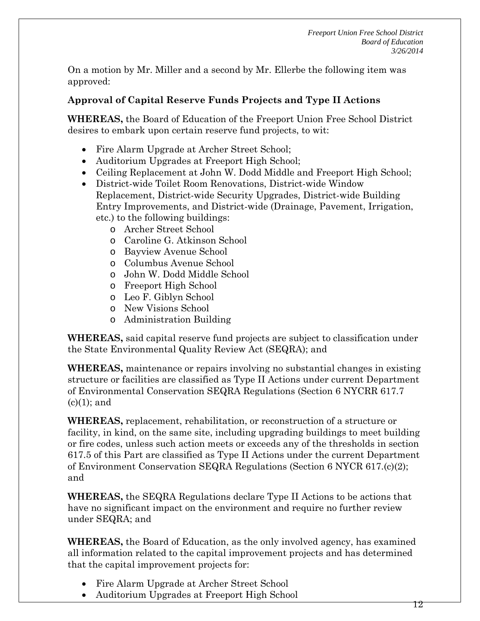On a motion by Mr. Miller and a second by Mr. Ellerbe the following item was approved:

## **Approval of Capital Reserve Funds Projects and Type II Actions**

**WHEREAS,** the Board of Education of the Freeport Union Free School District desires to embark upon certain reserve fund projects, to wit:

- Fire Alarm Upgrade at Archer Street School;
- Auditorium Upgrades at Freeport High School;
- Ceiling Replacement at John W. Dodd Middle and Freeport High School;
- District-wide Toilet Room Renovations, District-wide Window Replacement, District-wide Security Upgrades, District-wide Building Entry Improvements, and District-wide (Drainage, Pavement, Irrigation, etc.) to the following buildings:
	- o Archer Street School
	- o Caroline G. Atkinson School
	- o Bayview Avenue School
	- o Columbus Avenue School
	- o John W. Dodd Middle School
	- o Freeport High School
	- o Leo F. Giblyn School
	- o New Visions School
	- o Administration Building

**WHEREAS,** said capital reserve fund projects are subject to classification under the State Environmental Quality Review Act (SEQRA); and

**WHEREAS,** maintenance or repairs involving no substantial changes in existing structure or facilities are classified as Type II Actions under current Department of Environmental Conservation SEQRA Regulations (Section 6 NYCRR 617.7  $(c)(1)$ ; and

**WHEREAS,** replacement, rehabilitation, or reconstruction of a structure or facility, in kind, on the same site, including upgrading buildings to meet building or fire codes, unless such action meets or exceeds any of the thresholds in section 617.5 of this Part are classified as Type II Actions under the current Department of Environment Conservation SEQRA Regulations (Section 6 NYCR 617.(c)(2); and

**WHEREAS,** the SEQRA Regulations declare Type II Actions to be actions that have no significant impact on the environment and require no further review under SEQRA; and

**WHEREAS,** the Board of Education, as the only involved agency, has examined all information related to the capital improvement projects and has determined that the capital improvement projects for:

- Fire Alarm Upgrade at Archer Street School
- Auditorium Upgrades at Freeport High School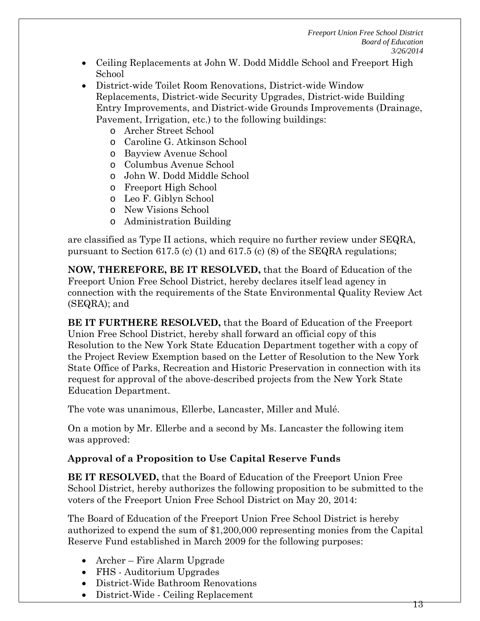- Ceiling Replacements at John W. Dodd Middle School and Freeport High School
- District-wide Toilet Room Renovations, District-wide Window Replacements, District-wide Security Upgrades, District-wide Building Entry Improvements, and District-wide Grounds Improvements (Drainage, Pavement, Irrigation, etc.) to the following buildings:
	- o Archer Street School
	- o Caroline G. Atkinson School
	- o Bayview Avenue School
	- o Columbus Avenue School
	- o John W. Dodd Middle School
	- o Freeport High School
	- o Leo F. Giblyn School
	- o New Visions School
	- o Administration Building

are classified as Type II actions, which require no further review under SEQRA, pursuant to Section 617.5 (c) (1) and 617.5 (c) (8) of the SEQRA regulations;

**NOW, THEREFORE, BE IT RESOLVED,** that the Board of Education of the Freeport Union Free School District, hereby declares itself lead agency in connection with the requirements of the State Environmental Quality Review Act (SEQRA); and

**BE IT FURTHERE RESOLVED,** that the Board of Education of the Freeport Union Free School District, hereby shall forward an official copy of this Resolution to the New York State Education Department together with a copy of the Project Review Exemption based on the Letter of Resolution to the New York State Office of Parks, Recreation and Historic Preservation in connection with its request for approval of the above-described projects from the New York State Education Department.

The vote was unanimous, Ellerbe, Lancaster, Miller and Mulé.

On a motion by Mr. Ellerbe and a second by Ms. Lancaster the following item was approved:

## **Approval of a Proposition to Use Capital Reserve Funds**

**BE IT RESOLVED,** that the Board of Education of the Freeport Union Free School District, hereby authorizes the following proposition to be submitted to the voters of the Freeport Union Free School District on May 20, 2014:

The Board of Education of the Freeport Union Free School District is hereby authorized to expend the sum of \$1,200,000 representing monies from the Capital Reserve Fund established in March 2009 for the following purposes:

- Archer Fire Alarm Upgrade
- FHS Auditorium Upgrades
- District-Wide Bathroom Renovations
- District-Wide Ceiling Replacement